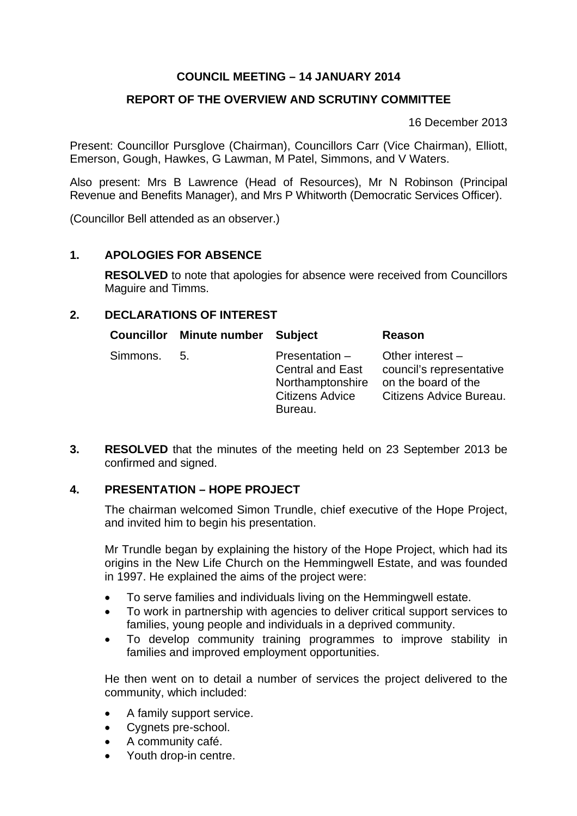# **COUNCIL MEETING – 14 JANUARY 2014**

## **REPORT OF THE OVERVIEW AND SCRUTINY COMMITTEE**

16 December 2013

Present: Councillor Pursglove (Chairman), Councillors Carr (Vice Chairman), Elliott, Emerson, Gough, Hawkes, G Lawman, M Patel, Simmons, and V Waters.

Also present: Mrs B Lawrence (Head of Resources), Mr N Robinson (Principal Revenue and Benefits Manager), and Mrs P Whitworth (Democratic Services Officer).

(Councillor Bell attended as an observer.)

### **1. APOLOGIES FOR ABSENCE**

**RESOLVED** to note that apologies for absence were received from Councillors Maguire and Timms.

### **2. DECLARATIONS OF INTEREST**

| <b>Councillor</b> | Minute number Subject |                                                                                             | Reason                                                                                           |
|-------------------|-----------------------|---------------------------------------------------------------------------------------------|--------------------------------------------------------------------------------------------------|
| Simmons.          | 5.                    | Presentation -<br><b>Central and East</b><br>Northamptonshire<br>Citizens Advice<br>Bureau. | Other interest $-$<br>council's representative<br>on the board of the<br>Citizens Advice Bureau. |

**3. RESOLVED** that the minutes of the meeting held on 23 September 2013 be confirmed and signed.

### **4. PRESENTATION – HOPE PROJECT**

The chairman welcomed Simon Trundle, chief executive of the Hope Project, and invited him to begin his presentation.

Mr Trundle began by explaining the history of the Hope Project, which had its origins in the New Life Church on the Hemmingwell Estate, and was founded in 1997. He explained the aims of the project were:

- To serve families and individuals living on the Hemmingwell estate.
- To work in partnership with agencies to deliver critical support services to families, young people and individuals in a deprived community.
- To develop community training programmes to improve stability in families and improved employment opportunities.

He then went on to detail a number of services the project delivered to the community, which included:

- A family support service.
- Cygnets pre-school.
- A community café.
- Youth drop-in centre.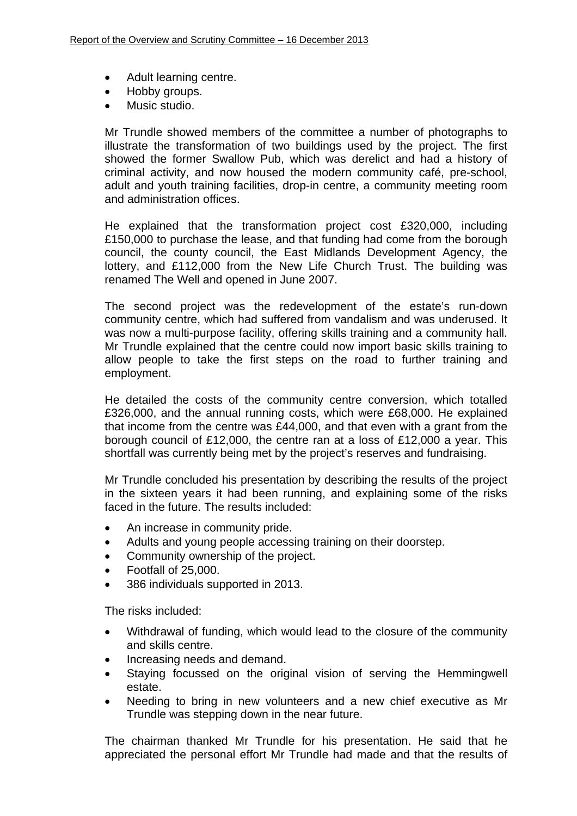- Adult learning centre.
- Hobby groups.
- Music studio.

Mr Trundle showed members of the committee a number of photographs to illustrate the transformation of two buildings used by the project. The first showed the former Swallow Pub, which was derelict and had a history of criminal activity, and now housed the modern community café, pre-school, adult and youth training facilities, drop-in centre, a community meeting room and administration offices.

He explained that the transformation project cost £320,000, including £150,000 to purchase the lease, and that funding had come from the borough council, the county council, the East Midlands Development Agency, the lottery, and £112,000 from the New Life Church Trust. The building was renamed The Well and opened in June 2007.

The second project was the redevelopment of the estate's run-down community centre, which had suffered from vandalism and was underused. It was now a multi-purpose facility, offering skills training and a community hall. Mr Trundle explained that the centre could now import basic skills training to allow people to take the first steps on the road to further training and employment.

He detailed the costs of the community centre conversion, which totalled £326,000, and the annual running costs, which were £68,000. He explained that income from the centre was £44,000, and that even with a grant from the borough council of £12,000, the centre ran at a loss of £12,000 a year. This shortfall was currently being met by the project's reserves and fundraising.

Mr Trundle concluded his presentation by describing the results of the project in the sixteen years it had been running, and explaining some of the risks faced in the future. The results included:

- An increase in community pride.
- Adults and young people accessing training on their doorstep.
- Community ownership of the project.
- Footfall of 25,000.
- 386 individuals supported in 2013.

The risks included:

- Withdrawal of funding, which would lead to the closure of the community and skills centre.
- Increasing needs and demand.
- Staying focussed on the original vision of serving the Hemmingwell estate.
- Needing to bring in new volunteers and a new chief executive as Mr Trundle was stepping down in the near future.

The chairman thanked Mr Trundle for his presentation. He said that he appreciated the personal effort Mr Trundle had made and that the results of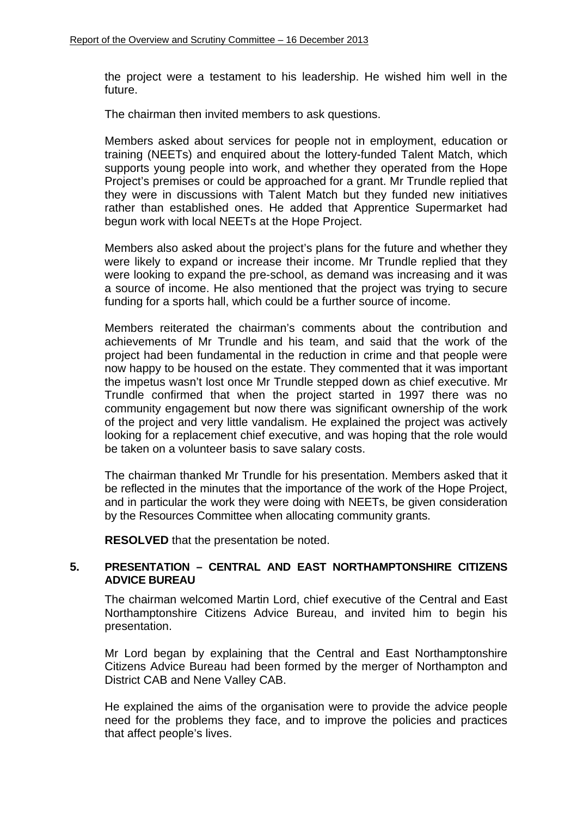the project were a testament to his leadership. He wished him well in the future.

The chairman then invited members to ask questions.

Members asked about services for people not in employment, education or training (NEETs) and enquired about the lottery-funded Talent Match, which supports young people into work, and whether they operated from the Hope Project's premises or could be approached for a grant. Mr Trundle replied that they were in discussions with Talent Match but they funded new initiatives rather than established ones. He added that Apprentice Supermarket had begun work with local NEETs at the Hope Project.

Members also asked about the project's plans for the future and whether they were likely to expand or increase their income. Mr Trundle replied that they were looking to expand the pre-school, as demand was increasing and it was a source of income. He also mentioned that the project was trying to secure funding for a sports hall, which could be a further source of income.

Members reiterated the chairman's comments about the contribution and achievements of Mr Trundle and his team, and said that the work of the project had been fundamental in the reduction in crime and that people were now happy to be housed on the estate. They commented that it was important the impetus wasn't lost once Mr Trundle stepped down as chief executive. Mr Trundle confirmed that when the project started in 1997 there was no community engagement but now there was significant ownership of the work of the project and very little vandalism. He explained the project was actively looking for a replacement chief executive, and was hoping that the role would be taken on a volunteer basis to save salary costs.

The chairman thanked Mr Trundle for his presentation. Members asked that it be reflected in the minutes that the importance of the work of the Hope Project, and in particular the work they were doing with NEETs, be given consideration by the Resources Committee when allocating community grants.

**RESOLVED** that the presentation be noted.

#### **5. PRESENTATION – CENTRAL AND EAST NORTHAMPTONSHIRE CITIZENS ADVICE BUREAU**

The chairman welcomed Martin Lord, chief executive of the Central and East Northamptonshire Citizens Advice Bureau, and invited him to begin his presentation.

Mr Lord began by explaining that the Central and East Northamptonshire Citizens Advice Bureau had been formed by the merger of Northampton and District CAB and Nene Valley CAB.

He explained the aims of the organisation were to provide the advice people need for the problems they face, and to improve the policies and practices that affect people's lives.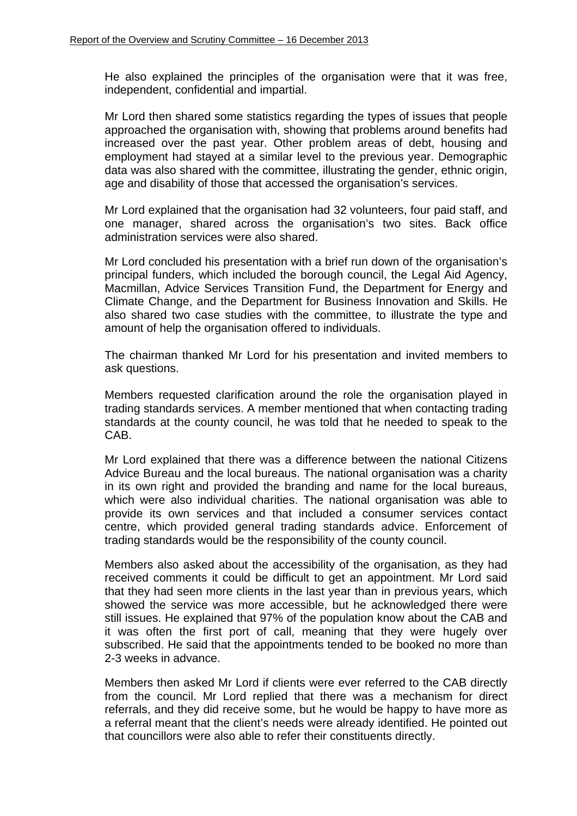He also explained the principles of the organisation were that it was free, independent, confidential and impartial.

Mr Lord then shared some statistics regarding the types of issues that people approached the organisation with, showing that problems around benefits had increased over the past year. Other problem areas of debt, housing and employment had stayed at a similar level to the previous year. Demographic data was also shared with the committee, illustrating the gender, ethnic origin, age and disability of those that accessed the organisation's services.

Mr Lord explained that the organisation had 32 volunteers, four paid staff, and one manager, shared across the organisation's two sites. Back office administration services were also shared.

Mr Lord concluded his presentation with a brief run down of the organisation's principal funders, which included the borough council, the Legal Aid Agency, Macmillan, Advice Services Transition Fund, the Department for Energy and Climate Change, and the Department for Business Innovation and Skills. He also shared two case studies with the committee, to illustrate the type and amount of help the organisation offered to individuals.

The chairman thanked Mr Lord for his presentation and invited members to ask questions.

Members requested clarification around the role the organisation played in trading standards services. A member mentioned that when contacting trading standards at the county council, he was told that he needed to speak to the CAB.

Mr Lord explained that there was a difference between the national Citizens Advice Bureau and the local bureaus. The national organisation was a charity in its own right and provided the branding and name for the local bureaus, which were also individual charities. The national organisation was able to provide its own services and that included a consumer services contact centre, which provided general trading standards advice. Enforcement of trading standards would be the responsibility of the county council.

Members also asked about the accessibility of the organisation, as they had received comments it could be difficult to get an appointment. Mr Lord said that they had seen more clients in the last year than in previous years, which showed the service was more accessible, but he acknowledged there were still issues. He explained that 97% of the population know about the CAB and it was often the first port of call, meaning that they were hugely over subscribed. He said that the appointments tended to be booked no more than 2-3 weeks in advance.

Members then asked Mr Lord if clients were ever referred to the CAB directly from the council. Mr Lord replied that there was a mechanism for direct referrals, and they did receive some, but he would be happy to have more as a referral meant that the client's needs were already identified. He pointed out that councillors were also able to refer their constituents directly.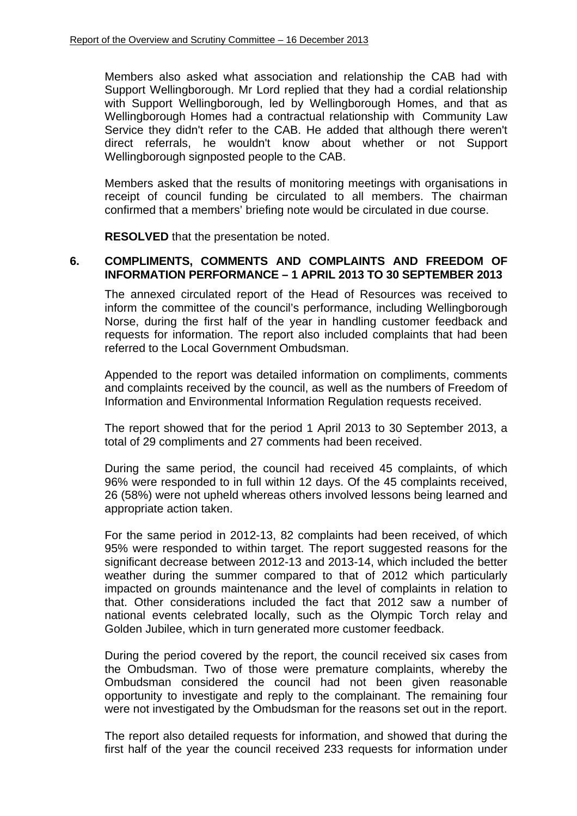Members also asked what association and relationship the CAB had with Support Wellingborough. Mr Lord replied that they had a cordial relationship with Support Wellingborough, led by Wellingborough Homes, and that as Wellingborough Homes had a contractual relationship with Community Law Service they didn't refer to the CAB. He added that although there weren't direct referrals, he wouldn't know about whether or not Support Wellingborough signposted people to the CAB.

Members asked that the results of monitoring meetings with organisations in receipt of council funding be circulated to all members. The chairman confirmed that a members' briefing note would be circulated in due course.

**RESOLVED** that the presentation be noted.

### **6. COMPLIMENTS, COMMENTS AND COMPLAINTS AND FREEDOM OF INFORMATION PERFORMANCE – 1 APRIL 2013 TO 30 SEPTEMBER 2013**

The annexed circulated report of the Head of Resources was received to inform the committee of the council's performance, including Wellingborough Norse, during the first half of the year in handling customer feedback and requests for information. The report also included complaints that had been referred to the Local Government Ombudsman.

Appended to the report was detailed information on compliments, comments and complaints received by the council, as well as the numbers of Freedom of Information and Environmental Information Regulation requests received.

The report showed that for the period 1 April 2013 to 30 September 2013, a total of 29 compliments and 27 comments had been received.

During the same period, the council had received 45 complaints, of which 96% were responded to in full within 12 days. Of the 45 complaints received, 26 (58%) were not upheld whereas others involved lessons being learned and appropriate action taken.

For the same period in 2012-13, 82 complaints had been received, of which 95% were responded to within target. The report suggested reasons for the significant decrease between 2012-13 and 2013-14, which included the better weather during the summer compared to that of 2012 which particularly impacted on grounds maintenance and the level of complaints in relation to that. Other considerations included the fact that 2012 saw a number of national events celebrated locally, such as the Olympic Torch relay and Golden Jubilee, which in turn generated more customer feedback.

During the period covered by the report, the council received six cases from the Ombudsman. Two of those were premature complaints, whereby the Ombudsman considered the council had not been given reasonable opportunity to investigate and reply to the complainant. The remaining four were not investigated by the Ombudsman for the reasons set out in the report.

The report also detailed requests for information, and showed that during the first half of the year the council received 233 requests for information under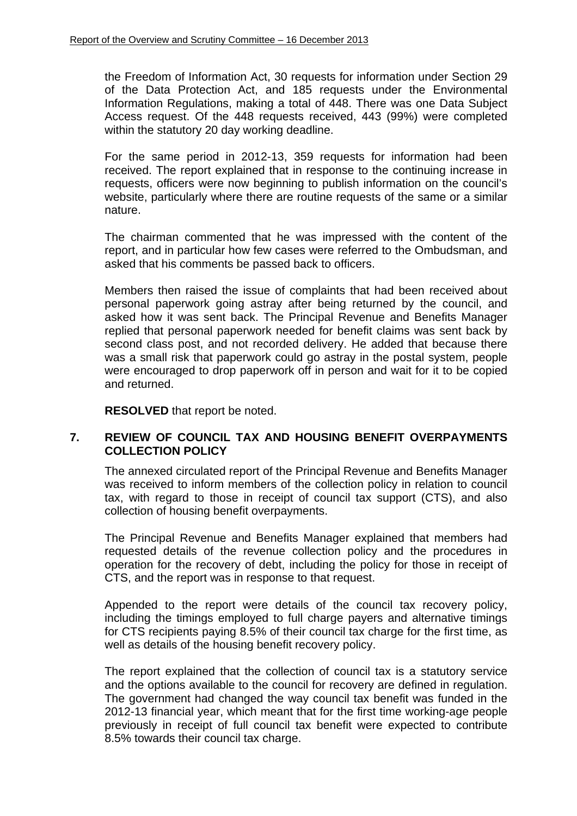the Freedom of Information Act, 30 requests for information under Section 29 of the Data Protection Act, and 185 requests under the Environmental Information Regulations, making a total of 448. There was one Data Subject Access request. Of the 448 requests received, 443 (99%) were completed within the statutory 20 day working deadline.

For the same period in 2012-13, 359 requests for information had been received. The report explained that in response to the continuing increase in requests, officers were now beginning to publish information on the council's website, particularly where there are routine requests of the same or a similar nature.

The chairman commented that he was impressed with the content of the report, and in particular how few cases were referred to the Ombudsman, and asked that his comments be passed back to officers.

Members then raised the issue of complaints that had been received about personal paperwork going astray after being returned by the council, and asked how it was sent back. The Principal Revenue and Benefits Manager replied that personal paperwork needed for benefit claims was sent back by second class post, and not recorded delivery. He added that because there was a small risk that paperwork could go astray in the postal system, people were encouraged to drop paperwork off in person and wait for it to be copied and returned.

**RESOLVED** that report be noted.

### **7. REVIEW OF COUNCIL TAX AND HOUSING BENEFIT OVERPAYMENTS COLLECTION POLICY**

The annexed circulated report of the Principal Revenue and Benefits Manager was received to inform members of the collection policy in relation to council tax, with regard to those in receipt of council tax support (CTS), and also collection of housing benefit overpayments.

The Principal Revenue and Benefits Manager explained that members had requested details of the revenue collection policy and the procedures in operation for the recovery of debt, including the policy for those in receipt of CTS, and the report was in response to that request.

Appended to the report were details of the council tax recovery policy, including the timings employed to full charge payers and alternative timings for CTS recipients paying 8.5% of their council tax charge for the first time, as well as details of the housing benefit recovery policy.

The report explained that the collection of council tax is a statutory service and the options available to the council for recovery are defined in regulation. The government had changed the way council tax benefit was funded in the 2012-13 financial year, which meant that for the first time working-age people previously in receipt of full council tax benefit were expected to contribute 8.5% towards their council tax charge.